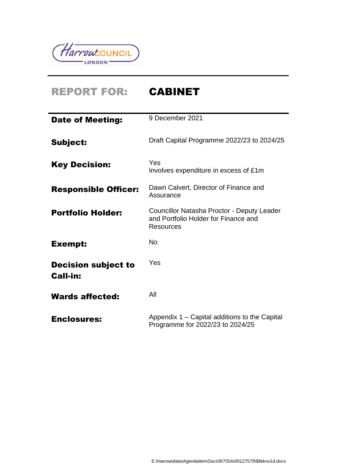

 $\overline{\phantom{a}}$ 

# REPORT FOR: CABINET

| <b>Date of Meeting:</b>                       | 9 December 2021                                                                                        |
|-----------------------------------------------|--------------------------------------------------------------------------------------------------------|
| <b>Subject:</b>                               | Draft Capital Programme 2022/23 to 2024/25                                                             |
| <b>Key Decision:</b>                          | Yes<br>Involves expenditure in excess of £1m                                                           |
| <b>Responsible Officer:</b>                   | Dawn Calvert, Director of Finance and<br>Assurance                                                     |
| <b>Portfolio Holder:</b>                      | Councillor Natasha Proctor - Deputy Leader<br>and Portfolio Holder for Finance and<br><b>Resources</b> |
| <b>Exempt:</b>                                | No                                                                                                     |
| <b>Decision subject to</b><br><b>Call-in:</b> | Yes                                                                                                    |
| <b>Wards affected:</b>                        | All                                                                                                    |
| <b>Enclosures:</b>                            | Appendix 1 – Capital additions to the Capital<br>Programme for 2022/23 to 2024/25                      |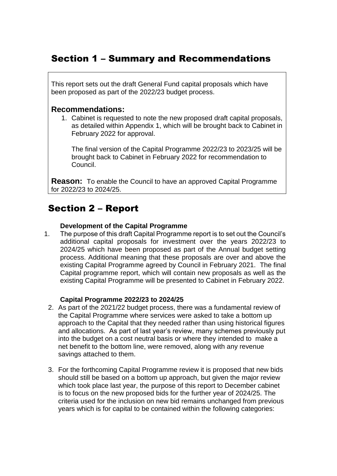# Section 1 – Summary and Recommendations

This report sets out the draft General Fund capital proposals which have been proposed as part of the 2022/23 budget process.

### **Recommendations:**

1. Cabinet is requested to note the new proposed draft capital proposals, as detailed within Appendix 1, which will be brought back to Cabinet in February 2022 for approval.

The final version of the Capital Programme 2022/23 to 2023/25 will be brought back to Cabinet in February 2022 for recommendation to Council.

**Reason:** To enable the Council to have an approved Capital Programme for 2022/23 to 2024/25.

# Section 2 – Report

#### **Development of the Capital Programme**

1. The purpose of this draft Capital Programme report is to set out the Council's additional capital proposals for investment over the years 2022/23 to 2024/25 which have been proposed as part of the Annual budget setting process. Additional meaning that these proposals are over and above the existing Capital Programme agreed by Council in February 2021. The final Capital programme report, which will contain new proposals as well as the existing Capital Programme will be presented to Cabinet in February 2022.

#### **Capital Programme 2022/23 to 2024/25**

- 2. As part of the 2021/22 budget process, there was a fundamental review of the Capital Programme where services were asked to take a bottom up approach to the Capital that they needed rather than using historical figures and allocations. As part of last year's review, many schemes previously put into the budget on a cost neutral basis or where they intended to make a net benefit to the bottom line, were removed, along with any revenue savings attached to them.
- 3. For the forthcoming Capital Programme review it is proposed that new bids should still be based on a bottom up approach, but given the major review which took place last year, the purpose of this report to December cabinet is to focus on the new proposed bids for the further year of 2024/25. The criteria used for the inclusion on new bid remains unchanged from previous years which is for capital to be contained within the following categories: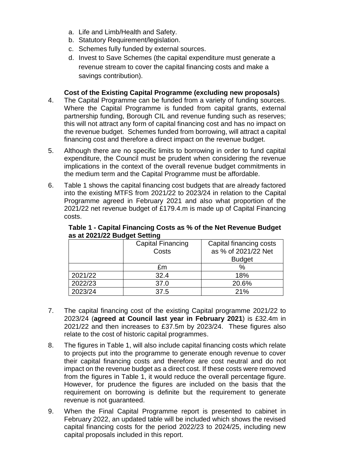- a. Life and Limb/Health and Safety.
- b. Statutory Requirement/legislation.
- c. Schemes fully funded by external sources.
- d. Invest to Save Schemes (the capital expenditure must generate a revenue stream to cover the capital financing costs and make a savings contribution).

#### **Cost of the Existing Capital Programme (excluding new proposals)**

- 4. The Capital Programme can be funded from a variety of funding sources. Where the Capital Programme is funded from capital grants, external partnership funding, Borough CIL and revenue funding such as reserves; this will not attract any form of capital financing cost and has no impact on the revenue budget. Schemes funded from borrowing, will attract a capital financing cost and therefore a direct impact on the revenue budget.
- 5. Although there are no specific limits to borrowing in order to fund capital expenditure, the Council must be prudent when considering the revenue implications in the context of the overall revenue budget commitments in the medium term and the Capital Programme must be affordable.
- 6. Table 1 shows the capital financing cost budgets that are already factored into the existing MTFS from 2021/22 to 2023/24 in relation to the Capital Programme agreed in February 2021 and also what proportion of the 2021/22 net revenue budget of £179.4.m is made up of Capital Financing costs.

|         | <b>Capital Financing</b> | Capital financing costs |
|---------|--------------------------|-------------------------|
|         | Costs                    | as % of 2021/22 Net     |
|         |                          | <b>Budget</b>           |
|         | £m                       | $\%$                    |
| 2021/22 | 32.4                     | 18%                     |
| 2022/23 | 37.0                     | 20.6%                   |
| 2023/24 | 37.5                     | 21%                     |

#### **Table 1 - Capital Financing Costs as % of the Net Revenue Budget as at 2021/22 Budget Setting**

- 7. The capital financing cost of the existing Capital programme 2021/22 to 2023/24 (**agreed at Council last year in February 2021**) is £32.4m in 2021/22 and then increases to £37.5m by 2023/24. These figures also relate to the cost of historic capital programmes.
- 8. The figures in Table 1, will also include capital financing costs which relate to projects put into the programme to generate enough revenue to cover their capital financing costs and therefore are cost neutral and do not impact on the revenue budget as a direct cost. If these costs were removed from the figures in Table 1, it would reduce the overall percentage figure. However, for prudence the figures are included on the basis that the requirement on borrowing is definite but the requirement to generate revenue is not guaranteed.
- 9. When the Final Capital Programme report is presented to cabinet in February 2022, an updated table will be included which shows the revised capital financing costs for the period 2022/23 to 2024/25, including new capital proposals included in this report.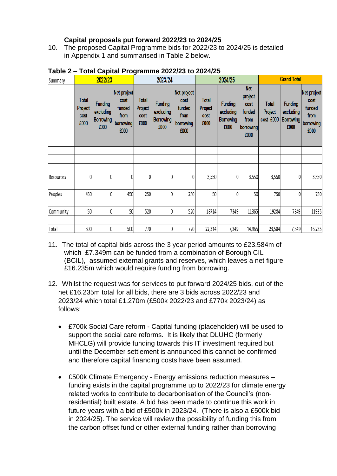# **Capital proposals put forward 2022/23 to 2024/25**

10. The proposed Capital Programme bids for 2022/23 to 2024/25 is detailed in Appendix 1 and summarised in Table 2 below.

| Summary   |                                         | 2022/23                                                 |                                                            |                                         | 2023/24                                                 |                                                            |                                         | 2024/25                                                 | <b>Grand Total</b>                                                   |                                      |                                                         |                                                            |
|-----------|-----------------------------------------|---------------------------------------------------------|------------------------------------------------------------|-----------------------------------------|---------------------------------------------------------|------------------------------------------------------------|-----------------------------------------|---------------------------------------------------------|----------------------------------------------------------------------|--------------------------------------|---------------------------------------------------------|------------------------------------------------------------|
|           | <b>Total</b><br>Project<br>cost<br>£000 | <b>Funding</b><br>excluding<br><b>Borrowing</b><br>£000 | Net project<br>cost<br>funded<br>from<br>borrowing<br>£000 | <b>Total</b><br>Project<br>cost<br>£000 | <b>Funding</b><br>excluding<br><b>Borrowing</b><br>£000 | Net project<br>cost<br>funded<br>from<br>borrowing<br>£000 | <b>Total</b><br>Project<br>cost<br>£000 | <b>Funding</b><br>excluding<br><b>Borrowing</b><br>£000 | <b>Net</b><br>project<br>cost<br>funded<br>from<br>borrowing<br>£000 | <b>Total</b><br>Project<br>cost £000 | <b>Funding</b><br>excluding<br><b>Borrowing</b><br>£000 | Net project<br>cost<br>funded<br>from<br>borrowing<br>£000 |
|           |                                         |                                                         |                                                            |                                         |                                                         |                                                            |                                         |                                                         |                                                                      |                                      |                                                         |                                                            |
|           |                                         |                                                         |                                                            |                                         |                                                         |                                                            |                                         |                                                         |                                                                      |                                      |                                                         |                                                            |
|           |                                         |                                                         |                                                            |                                         |                                                         |                                                            |                                         |                                                         |                                                                      |                                      |                                                         |                                                            |
| Resources | 0                                       | 0                                                       | Ω                                                          | 0                                       | $\theta$                                                | 0                                                          | 3,550                                   | 0                                                       | 3,550                                                                | 3,550                                | 0                                                       | 3,550                                                      |
|           |                                         |                                                         |                                                            |                                         |                                                         |                                                            |                                         |                                                         |                                                                      |                                      |                                                         |                                                            |
| Peoples   | 450                                     | 0                                                       | 450                                                        | 250                                     | $\theta$                                                | 250                                                        | 50                                      | 0                                                       | 50                                                                   | 750                                  | 0                                                       | 750                                                        |
|           |                                         |                                                         |                                                            |                                         |                                                         |                                                            |                                         |                                                         |                                                                      |                                      |                                                         |                                                            |
| Community | 50                                      | 0                                                       | 50                                                         | 520                                     | $\theta$                                                | 520                                                        | 18714                                   | 7349                                                    | 11365                                                                | 19284                                | 7349                                                    | 11935                                                      |
|           |                                         |                                                         |                                                            |                                         |                                                         |                                                            |                                         |                                                         |                                                                      |                                      |                                                         |                                                            |
| Total     | 500                                     | 0                                                       | 500                                                        | 770                                     | 0                                                       | 770                                                        | 22,314                                  | 7,349                                                   | 14,965                                                               | 23,584                               | 7,349                                                   | 16,235                                                     |

#### **Table 2 – Total Capital Programme 2022/23 to 2024/25**

- 11. The total of capital bids across the 3 year period amounts to £23.584m of which £7.349m can be funded from a combination of Borough CIL (BCIL), assumed external grants and reserves, which leaves a net figure £16.235m which would require funding from borrowing.
- 12. Whilst the request was for services to put forward 2024/25 bids, out of the net £16.235m total for all bids, there are 3 bids across 2022/23 and 2023/24 which total £1.270m (£500k 2022/23 and £770k 2023/24) as follows:
	- £700k Social Care reform Capital funding (placeholder) will be used to support the social care reforms. It is likely that DLUHC (formerly MHCLG) will provide funding towards this IT investment required but until the December settlement is announced this cannot be confirmed and therefore capital financing costs have been assumed.
	- £500k Climate Emergency Energy emissions reduction measures funding exists in the capital programme up to 2022/23 for climate energy related works to contribute to decarbonisation of the Council's (nonresidential) built estate. A bid has been made to continue this work in future years with a bid of £500k in 2023/24. (There is also a £500k bid in 2024/25). The service will review the possibility of funding this from the carbon offset fund or other external funding rather than borrowing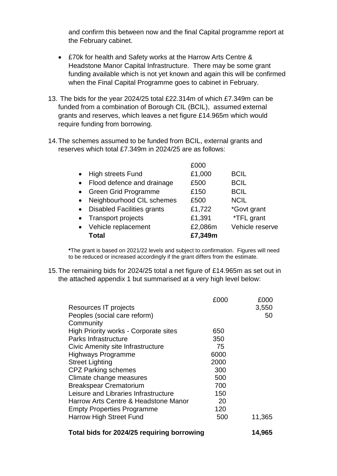and confirm this between now and the final Capital programme report at the February cabinet.

- £70k for health and Safety works at the Harrow Arts Centre & Headstone Manor Capital Infrastructure. There may be some grant funding available which is not yet known and again this will be confirmed when the Final Capital Programme goes to cabinet in February.
- 13. The bids for the year 2024/25 total £22.314m of which £7.349m can be funded from a combination of Borough CIL (BCIL), assumed external grants and reserves, which leaves a net figure £14.965m which would require funding from borrowing.
- 14.The schemes assumed to be funded from BCIL, external grants and reserves which total £7.349m in 2024/25 are as follows:

|           | Total                             | £7,349m |                 |
|-----------|-----------------------------------|---------|-----------------|
|           | • Vehicle replacement             | £2,086m | Vehicle reserve |
|           | • Transport projects              | £1,391  | *TFL grant      |
| $\bullet$ | <b>Disabled Facilities grants</b> | £1,722  | *Govt grant     |
|           | Neighbourhood CIL schemes         | £500    | <b>NCIL</b>     |
| $\bullet$ | <b>Green Grid Programme</b>       | £150    | <b>BCIL</b>     |
|           | Flood defence and drainage        | £500    | <b>BCIL</b>     |
|           | <b>High streets Fund</b>          | £1,000  | <b>BCIL</b>     |
|           |                                   | £000    |                 |

**\***The grant is based on 2021/22 levels and subject to confirmation. Figures will need to be reduced or increased accordingly if the grant differs from the estimate.

15.The remaining bids for 2024/25 total a net figure of £14.965m as set out in the attached appendix 1 but summarised at a very high level below:

|                                              | £000 | £000   |
|----------------------------------------------|------|--------|
| Resources IT projects                        |      | 3,550  |
| Peoples (social care reform)                 |      | 50     |
| Community                                    |      |        |
| <b>High Priority works - Corporate sites</b> | 650  |        |
| <b>Parks Infrastructure</b>                  | 350  |        |
| Civic Amenity site Infrastructure            | 75   |        |
| Highways Programme                           | 6000 |        |
| Street Lighting                              | 2000 |        |
| <b>CPZ Parking schemes</b>                   | 300  |        |
| Climate change measures                      | 500  |        |
| <b>Breakspear Crematorium</b>                | 700  |        |
| Leisure and Libraries Infrastructure         | 150  |        |
| Harrow Arts Centre & Headstone Manor         | 20   |        |
| <b>Empty Properties Programme</b>            | 120  |        |
| Harrow High Street Fund                      | 500  | 11,365 |
| Total bids for 2024/25 requiring borrowing   |      | 14,965 |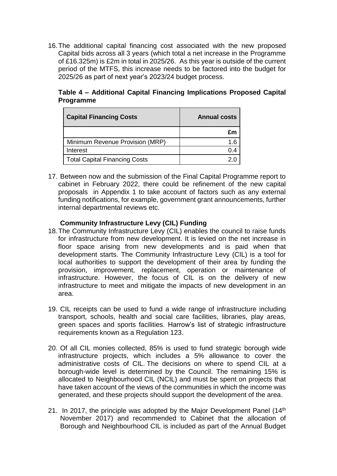16.The additional capital financing cost associated with the new proposed Capital bids across all 3 years (which total a net increase in the Programme of £16.325m) is £2m in total in 2025/26. As this year is outside of the current period of the MTFS, this increase needs to be factored into the budget for 2025/26 as part of next year's 2023/24 budget process.

**Table 4 – Additional Capital Financing Implications Proposed Capital Programme**

| <b>Capital Financing Costs</b>       | <b>Annual costs</b> |
|--------------------------------------|---------------------|
|                                      | £m                  |
| Minimum Revenue Provision (MRP)      | 1.6                 |
| Interest                             | 0.4                 |
| <b>Total Capital Financing Costs</b> |                     |

17. Between now and the submission of the Final Capital Programme report to cabinet in February 2022, there could be refinement of the new capital proposals in Appendix 1 to take account of factors such as any external funding notifications, for example, government grant announcements, further internal departmental reviews etc.

#### **Community Infrastructure Levy (CIL) Funding**

- 18.The Community Infrastructure Levy (CIL) enables the council to raise funds for infrastructure from new development. It is levied on the net increase in floor space arising from new developments and is paid when that development starts. The Community Infrastructure Levy (CIL) is a tool for local authorities to support the development of their area by funding the provision, improvement, replacement, operation or maintenance of infrastructure. However, the focus of CIL is on the delivery of new infrastructure to meet and mitigate the impacts of new development in an area.
- 19. CIL receipts can be used to fund a wide range of infrastructure including transport, schools, health and social care facilities, libraries, play areas, green spaces and sports facilities. Harrow's list of strategic infrastructure requirements known as a Regulation 123.
- 20. Of all CIL monies collected, 85% is used to fund strategic borough wide infrastructure projects, which includes a 5% allowance to cover the administrative costs of CIL. The decisions on where to spend CIL at a borough-wide level is determined by the Council. The remaining 15% is allocated to Neighbourhood CIL (NCIL) and must be spent on projects that have taken account of the views of the communities in which the income was generated, and these projects should support the development of the area.
- 21. In 2017, the principle was adopted by the Major Development Panel (14<sup>th</sup>) November 2017) and recommended to Cabinet that the allocation of Borough and Neighbourhood CIL is included as part of the Annual Budget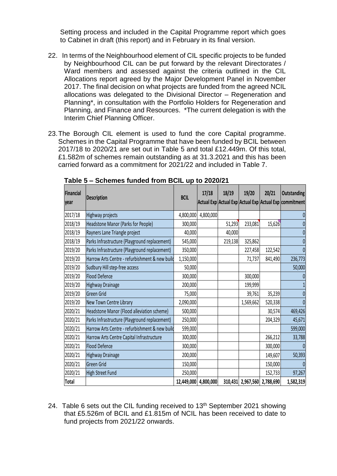Setting process and included in the Capital Programme report which goes to Cabinet in draft (this report) and in February in its final version.

- 22. In terms of the Neighbourhood element of CIL specific projects to be funded by Neighbourhood CIL can be put forward by the relevant Directorates / Ward members and assessed against the criteria outlined in the CIL Allocations report agreed by the Major Development Panel in November 2017. The final decision on what projects are funded from the agreed NCIL allocations was delegated to the Divisional Director – Regeneration and Planning\*, in consultation with the Portfolio Holders for Regeneration and Planning, and Finance and Resources. \*The current delegation is with the Interim Chief Planning Officer.
- 23.The Borough CIL element is used to fund the core Capital programme. Schemes in the Capital Programme that have been funded by BCIL between 2017/18 to 2020/21 are set out in Table 5 and total £12.449m. Of this total, £1.582m of schemes remain outstanding as at 31.3.2021 and this has been carried forward as a commitment for 2021/22 and included in Table 7.

| <b>Financial</b><br>year | <b>Description</b>                             | <b>BCIL</b>          | 17/18     | 18/19   | 19/20             | 20/21     | <b>Outstanding</b><br>Actual Exp Actual Exp Actual Exp Actual Exp commitment |
|--------------------------|------------------------------------------------|----------------------|-----------|---------|-------------------|-----------|------------------------------------------------------------------------------|
| 2017/18                  | Highway projects                               | 4,800,000            | 4,800,000 |         |                   |           | 0                                                                            |
| 2018/19                  | Headstone Manor (Parks for People)             | 300,000              |           | 51,293  | 233,081           | 15,626    | 0                                                                            |
| 2018/19                  | Rayners Lane Triangle project                  | 40,000               |           | 40,000  |                   |           | $\pmb{0}$                                                                    |
| 2018/19                  | Parks Infrastructure (Playground replacement)  | 545,000              |           | 219,138 | 325,862           |           | 0                                                                            |
| 2019/20                  | Parks Infrastructure (Playground replacement)  | 350,000              |           |         | 227,458           | 122,542   | 0                                                                            |
| 2019/20                  | Harrow Arts Centre - refurbishment & new build | 1,150,000            |           |         | 71,737            | 841,490   | 236,773                                                                      |
| 2019/20                  | Sudbury Hill step-free access                  | 50,000               |           |         |                   |           | 50,000                                                                       |
| 2019/20                  | <b>Flood Defence</b>                           | 300,000              |           |         | 300,000           |           | 0                                                                            |
| 2019/20                  | Highway Drainage                               | 200,000              |           |         | 199,999           |           |                                                                              |
| 2019/20                  | <b>Green Grid</b>                              | 75,000               |           |         | 39,761            | 35,239    | 0                                                                            |
| 2019/20                  | New Town Centre Library                        | 2,090,000            |           |         | 1,569,662         | 520,338   | 0                                                                            |
| 2020/21                  | Headstone Manor (Flood alleviation scheme)     | 500,000              |           |         |                   | 30,574    | 469,426                                                                      |
| 2020/21                  | Parks Infrastructure (Playground replacement)  | 250,000              |           |         |                   | 204,329   | 45,671                                                                       |
| 2020/21                  | Harrow Arts Centre - refurbishment & new build | 599,000              |           |         |                   |           | 599,000                                                                      |
| 2020/21                  | Harrow Arts Centre Capital Infrastructure      | 300,000              |           |         |                   | 266,212   | 33,788                                                                       |
| 2020/21                  | Flood Defence                                  | 300,000              |           |         |                   | 300,000   | $\Omega$                                                                     |
| 2020/21                  | Highway Drainage                               | 200,000              |           |         |                   | 149,607   | 50,393                                                                       |
| 2020/21                  | <b>Green Grid</b>                              | 150,000              |           |         |                   | 150,000   | $\Omega$                                                                     |
| 2020/21                  | High Street Fund                               | 250,000              |           |         |                   | 152,733   | 97,267                                                                       |
| <b>Total</b>             |                                                | 12,449,000 4,800,000 |           |         | 310,431 2,967,560 | 2,788,690 | 1,582,319                                                                    |

**Table 5 – Schemes funded from BCIL up to 2020/21**

24. Table 6 sets out the CIL funding received to  $13<sup>th</sup>$  September 2021 showing that £5.526m of BCIL and £1.815m of NCIL has been received to date to fund projects from 2021/22 onwards.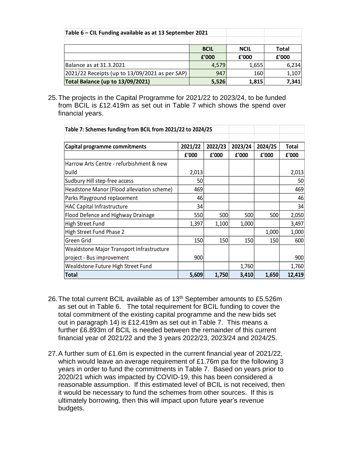| Table 6 - CIL Funding available as at 13 September 2021 |             |             |              |
|---------------------------------------------------------|-------------|-------------|--------------|
|                                                         |             |             |              |
|                                                         | <b>BCIL</b> | <b>NCIL</b> | <b>Total</b> |
|                                                         | £'000       | £'000       | £'000        |
| Balance as at 31.3.2021                                 | 4,579       | 1,655       | 6,234        |
| 2021/22 Receipts (up to 13/09/2021 as per SAP)          | 947         | 160         | 1,107        |
| Total Balance (up to 13/09/2021)                        | 5,526       | 1,815       | 7,341        |

25.The projects in the Capital Programme for 2021/22 to 2023/24, to be funded from BCIL is £12.419m as set out in Table 7 which shows the spend over financial years.

| Table 7: Schemes funding from BCIL from 2021/22 to 2024/25 |         |         |         |         |        |
|------------------------------------------------------------|---------|---------|---------|---------|--------|
|                                                            |         |         |         |         |        |
| Capital programme commitments                              | 2021/22 | 2022/23 | 2023/24 | 2024/25 | Total  |
|                                                            | £'000   | £'000   | £'000   | £'000   | £'000  |
| Harrow Arts Centre - refurbishment & new                   |         |         |         |         |        |
| build                                                      | 2,013   |         |         |         | 2,013  |
| Sudbury Hill step-free access                              | 50      |         |         |         | 50     |
| Headstone Manor (Flood alleviation scheme)                 | 469     |         |         |         | 469    |
| Parks Playground replacement                               | 46      |         |         |         | 46     |
| <b>HAC Capital Infrastructure</b>                          | 34      |         |         |         | 34     |
| Flood Defence and Highway Drainage                         | 550     | 500     | 500     | 500     | 2,050  |
| High Street Fund                                           | 1,397   | 1,100   | 1,000   |         | 3,497  |
| High Street Fund Phase 2                                   |         |         |         | 1,000   | 1,000  |
| Green Grid                                                 | 150     | 150     | 150     | 150     | 600    |
| Wealdstone Major Transport Infrastructure                  |         |         |         |         |        |
| project - Bus improvement                                  | 900     |         |         |         | 900    |
| Wealdstone Future High Street Fund                         |         |         | 1,760   |         | 1,760  |
| <b>Total</b>                                               | 5,609   | 1,750   | 3,410   | 1,650   | 12,419 |

- 26. The total current BCIL available as of 13<sup>th</sup> September amounts to £5.526m as set out in Table 6. The total requirement for BCIL funding to cover the total commitment of the existing capital programme and the new bids set out in paragraph 14) is £12.419m as set out in Table 7. This means a further £6.893m of BCIL is needed between the remainder of this current financial year of 2021/22 and the 3 years 2022/23, 2023/24 and 2024/25.
- 27.A further sum of £1.6m is expected in the current financial year of 2021/22, which would leave an average requirement of £1.76m pa for the following 3 years in order to fund the commitments in Table 7. Based on years prior to 2020/21 which was impacted by COVID-19, this has been considered a reasonable assumption. If this estimated level of BCIL is not received, then it would be necessary to fund the schemes from other sources. If this is ultimately borrowing, then this will impact upon future year's revenue budgets.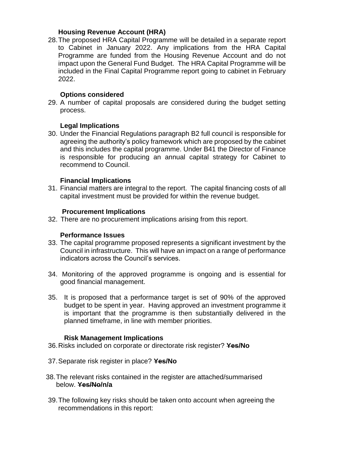#### **Housing Revenue Account (HRA)**

28.The proposed HRA Capital Programme will be detailed in a separate report to Cabinet in January 2022. Any implications from the HRA Capital Programme are funded from the Housing Revenue Account and do not impact upon the General Fund Budget. The HRA Capital Programme will be included in the Final Capital Programme report going to cabinet in February 2022.

#### **Options considered**

29. A number of capital proposals are considered during the budget setting process.

#### **Legal Implications**

30. Under the Financial Regulations paragraph B2 full council is responsible for agreeing the authority's policy framework which are proposed by the cabinet and this includes the capital programme. Under B41 the Director of Finance is responsible for producing an annual capital strategy for Cabinet to recommend to Council.

#### **Financial Implications**

31. Financial matters are integral to the report. The capital financing costs of all capital investment must be provided for within the revenue budget.

#### **Procurement Implications**

32. There are no procurement implications arising from this report.

#### **Performance Issues**

- 33. The capital programme proposed represents a significant investment by the Council in infrastructure. This will have an impact on a range of performance indicators across the Council's services.
- 34. Monitoring of the approved programme is ongoing and is essential for good financial management.
- 35. It is proposed that a performance target is set of 90% of the approved budget to be spent in year. Having approved an investment programme it is important that the programme is then substantially delivered in the planned timeframe, in line with member priorities.

#### **Risk Management Implications**

- 36.Risks included on corporate or directorate risk register? **Yes/No**
- 37.Separate risk register in place? **Yes/No**
- 38.The relevant risks contained in the register are attached/summarised below. **Yes/No/n/a**
- 39.The following key risks should be taken onto account when agreeing the recommendations in this report: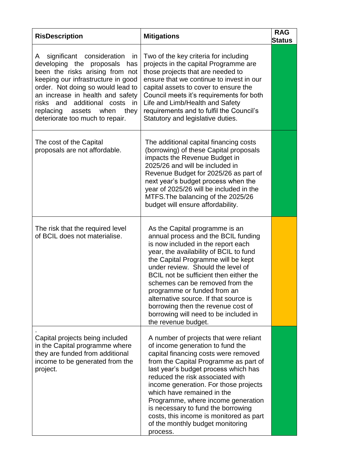| <b>RisDescription</b>                                                                                                                                                                                                                                                                                                             | <b>Mitigations</b>                                                                                                                                                                                                                                                                                                                                                                                                                                                                          | <b>RAG</b><br><b>Status</b> |
|-----------------------------------------------------------------------------------------------------------------------------------------------------------------------------------------------------------------------------------------------------------------------------------------------------------------------------------|---------------------------------------------------------------------------------------------------------------------------------------------------------------------------------------------------------------------------------------------------------------------------------------------------------------------------------------------------------------------------------------------------------------------------------------------------------------------------------------------|-----------------------------|
| significant consideration in<br>A<br>developing the proposals<br>has<br>been the risks arising from not<br>keeping our infrastructure in good<br>order. Not doing so would lead to<br>an increase in health and safety<br>additional<br>risks and<br>costs in<br>they<br>replacing assets when<br>deteriorate too much to repair. | Two of the key criteria for including<br>projects in the capital Programme are<br>those projects that are needed to<br>ensure that we continue to invest in our<br>capital assets to cover to ensure the<br>Council meets it's requirements for both<br>Life and Limb/Health and Safety<br>requirements and to fulfil the Council's<br>Statutory and legislative duties.                                                                                                                    |                             |
| The cost of the Capital<br>proposals are not affordable.                                                                                                                                                                                                                                                                          | The additional capital financing costs<br>(borrowing) of these Capital proposals<br>impacts the Revenue Budget in<br>2025/26 and will be included in<br>Revenue Budget for 2025/26 as part of<br>next year's budget process when the<br>year of 2025/26 will be included in the<br>MTFS. The balancing of the 2025/26<br>budget will ensure affordability.                                                                                                                                  |                             |
| The risk that the required level<br>of BCIL does not materialise.                                                                                                                                                                                                                                                                 | As the Capital programme is an<br>annual process and the BCIL funding<br>is now included in the report each<br>year, the availability of BCIL to fund<br>the Capital Programme will be kept<br>under review. Should the level of<br>BCIL not be sufficient then either the<br>schemes can be removed from the<br>programme or funded from an<br>alternative source. If that source is<br>borrowing then the revenue cost of<br>borrowing will need to be included in<br>the revenue budget. |                             |
| Capital projects being included<br>in the Capital programme where<br>they are funded from additional<br>income to be generated from the<br>project.                                                                                                                                                                               | A number of projects that were reliant<br>of income generation to fund the<br>capital financing costs were removed<br>from the Capital Programme as part of<br>last year's budget process which has<br>reduced the risk associated with<br>income generation. For those projects<br>which have remained in the<br>Programme, where income generation<br>is necessary to fund the borrowing<br>costs, this income is monitored as part<br>of the monthly budget monitoring<br>process.       |                             |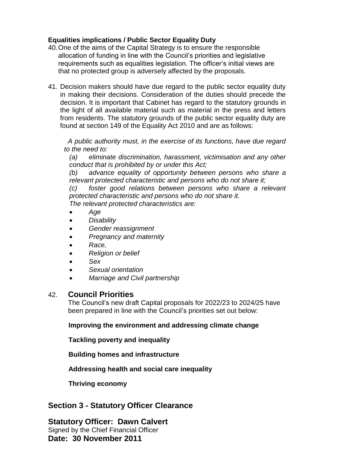# **Equalities implications / Public Sector Equality Duty**

- 40.One of the aims of the Capital Strategy is to ensure the responsible allocation of funding in line with the Council's priorities and legislative requirements such as equalities legislation. The officer's initial views are that no protected group is adversely affected by the proposals.
- 41. Decision makers should have due regard to the public sector equality duty in making their decisions. Consideration of the duties should precede the decision. It is important that Cabinet has regard to the statutory grounds in the light of all available material such as material in the press and letters from residents. The statutory grounds of the public sector equality duty are found at section 149 of the Equality Act 2010 and are as follows:

 *A public authority must, in the exercise of its functions, have due regard to the need to:*

*(a) eliminate discrimination, harassment, victimisation and any other conduct that is prohibited by or under this Act;*

*(b) advance equality of opportunity between persons who share a relevant protected characteristic and persons who do not share it;*

*(c) foster good relations between persons who share a relevant protected characteristic and persons who do not share it.*

*The relevant protected characteristics are:*

- *Age*
- *Disability*
- *Gender reassignment*
- *Pregnancy and maternity*
- *Race,*
- *Religion or belief*
- *Sex*
- *Sexual orientation*
- *Marriage and Civil partnership*

# 42. **Council Priorities**

The Council's new draft Capital proposals for 2022/23 to 2024/25 have been prepared in line with the Council's priorities set out below:

#### **Improving the environment and addressing climate change**

**Tackling poverty and inequality**

**Building homes and infrastructure**

**Addressing health and social care inequality**

**Thriving economy**

# **Section 3 - Statutory Officer Clearance**

**Statutory Officer: Dawn Calvert**

Signed by the Chief Financial Officer **Date: 30 November 2011**